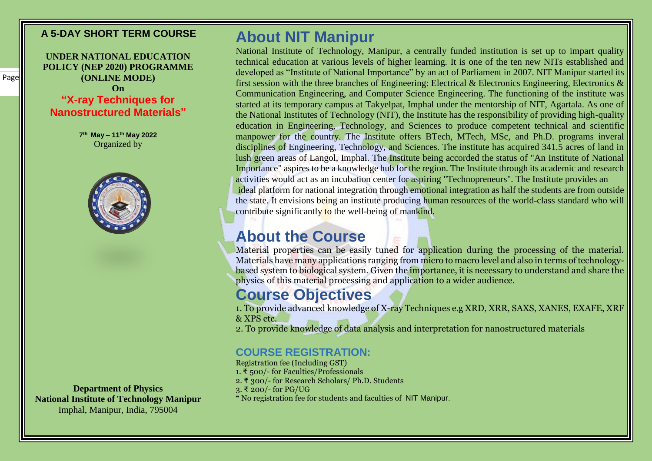### **A 5-DAY SHORT TERM COURSE**

**UNDER NATIONAL EDUCATION POLICY (NEP 2020) PROGRAMME (ONLINE MODE) On "X-ray Techniques for Nanostructured Materials"**

> **7 th May – 11th May 2022** Organized by



**Department of Physics National Institute of Technology Manipur** Imphal, Manipur, India, 795004

# **About NIT Manipur**

National Institute of Technology, Manipur, a centrally funded institution is set up to impart quality technical education at various levels of higher learning. It is one of the ten new NITs established and developed as "Institute of National Importance" by an act of Parliament in 2007. NIT Manipur started its first session with the three branches of Engineering: Electrical & Electronics Engineering, Electronics  $\&$ Communication Engineering, and Computer Science Engineering. The functioning of the institute was started at its temporary campus at Takyelpat, Imphal under the mentorship of NIT, Agartala. As one of the National Institutes of Technology (NIT), the Institute has the responsibility of providing high-quality education in Engineering, Technology, and Sciences to produce competent technical and scientific manpower for the country. The Institute offers BTech, MTech, MSc, and Ph.D. programs inveral disciplines of Engineering, Technology, and Sciences. The institute has acquired 341.5 acres of land in lush green areas of Langol, Imphal. The Institute being accorded the status of "An Institute of National Importance" aspires to be a knowledge hub for the region. The Institute through its academic and research activities would act as an incubation center for aspiring "Technopreneurs". The Institute provides an ideal platform for national integration through emotional integration as half the students are from outside the state. It envisions being an institute producing human resources of the world-class standard who will contribute significantly to the well-being of mankind.

## **About the Course**

Material properties can be easily tuned for application during the processing of the material. Materials have many applications ranging from micro to macro level and also in terms of technologybased system to biological system. Given the importance, it is necessary to understand and share the physics of this material processing and application to a wider audience.

# **Course Objectives**

1. To provide advanced knowledge of X-ray Techniques e.g XRD, XRR, SAXS, XANES, EXAFE, XRF & XPS etc.

2. To provide knowledge of data analysis and interpretation for nanostructured materials

### **COURSE REGISTRATION:**

Registration fee (Including GST) 1. ₹ 500/- for Faculties/Professionals 2. ₹ 300/- for Research Scholars/ Ph.D. Students 3. ₹ 200/- for PG/UG \* No registration fee for students and faculties of NIT Manipur.

1